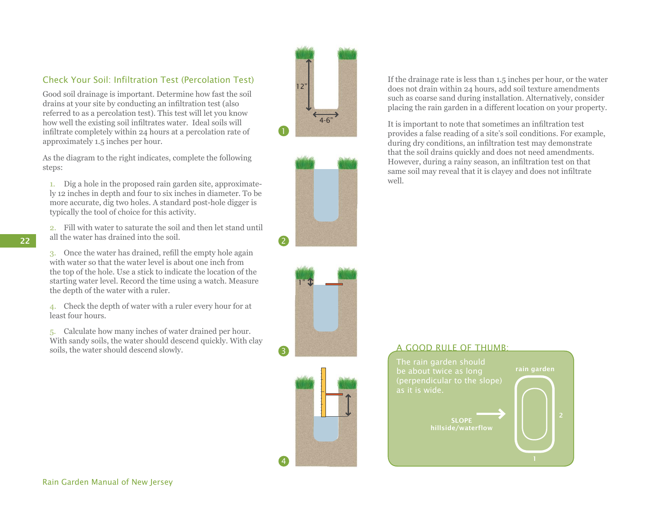## Check Your Soil: Infiltration Test (Percolation Test)

Good soil drainage is important. Determine how fast the soil drains at your site by conducting an infiltration test (also referred to as a percolation test). This test will let you know how well the existing soil infiltrates water. Ideal soils will infiltrate completely within 24 hours at a percolation rate of approximately 1.5 inches per hour.

As the diagram to the right indicates, complete the following steps:

1. Dig a hole in the proposed rain garden site, approximately 12 inches in depth and four to six inches in diameter. To be more accurate, dig two holes. A standard post-hole digger is typically the tool of choice for this activity.

2. Fill with water to saturate the soil and then let stand until all the water has drained into the soil.

3. Once the water has drained, refill the empty hole again with water so that the water level is about one inch from the top of the hole. Use a stick to indicate the location of the starting water level. Record the time using a watch. Measure the depth of the water with a ruler.

4. Check the depth of water with a ruler every hour for at least four hours.

5. Calculate how many inches of water drained per hour. With sandy soils, the water should descend quickly. With clay soils, the water should descend slowly.









If the drainage rate is less than 1.5 inches per hour, or the water does not drain within 24 hours, add soil texture amendments such as coarse sand during installation. Alternatively, consider placing the rain garden in a different location on your property.

It is important to note that sometimes an infiltration test provides a false reading of a site's soil conditions. For example, during dry conditions, an infiltration test may demonstrate that the soil drains quickly and does not need amendments. However, during a rainy season, an infiltration test on that same soil may reveal that it is clayey and does not infiltrate well.

## A GOOD RULE OF THUMB: